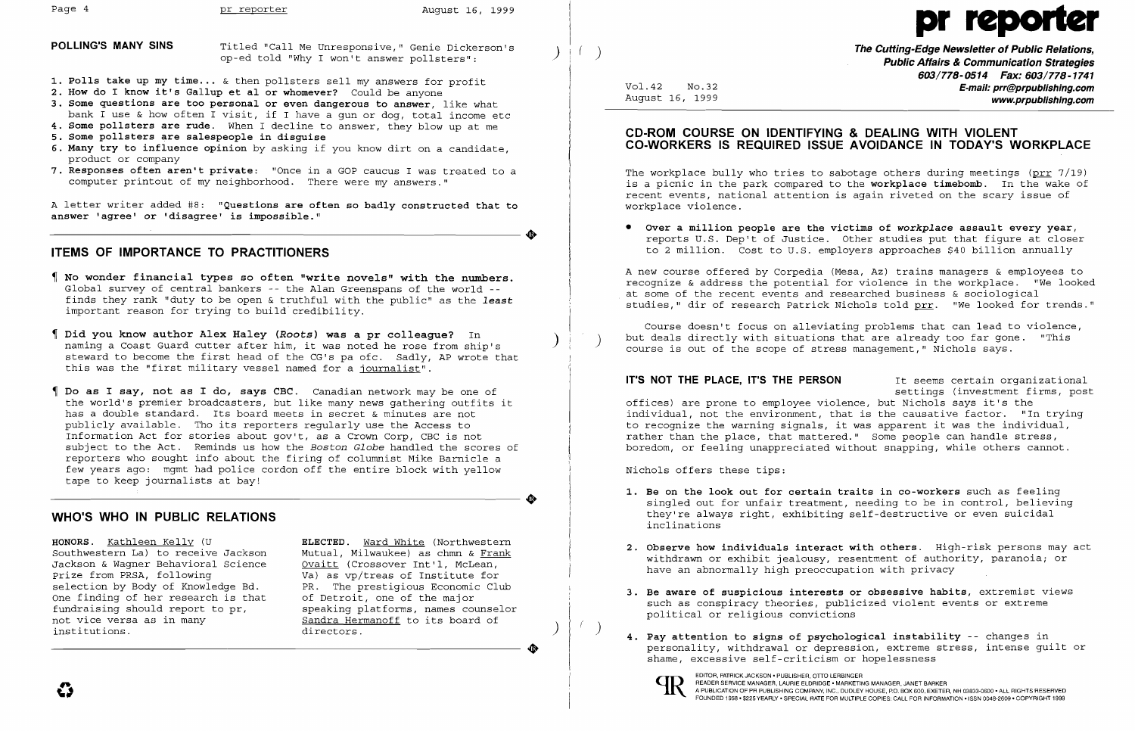$\bullet$ 

 $\bullet$ 

 $\bullet$ 

**POLLING'S MANY SINS** Titled "Call Me Unresponsive," Genie Dickerson's ( )  $\begin{pmatrix} 1 & 1 \end{pmatrix}$  ( ) **The Cutting-Edge Newsletter of Public Relations, and the Cutting-Edge Newsletter of Public Relations, and the context of P** 

- **1. Polls take up my time ...** & then pollsters sell my answers for profit
- **2. How do I know it's Gallup et al or whomever?** Could be anyone
- **3. Some questions are too personal or even dangerous to answer,** like what bank I use & how often I visit, if I have a gun or dog, total income etc
- **4. Some pollsters are rude.** When I decline to answer, they blow up at me
- **5. Some pollsters are salespeople in disguise**
- **6. Many try to influence opinion** by asking if you know dirt on a candidate, product or company
- **7. Responses often aren't private:** "Once in a GOP caucus I was treated to a computer printout of my neighborhood. There were my answers."

A letter writer added #8: **"Questions are often so badly constructed that to answer 'agree' or 'disagree' is impossible."** 

# **ITEMS OF IMPORTANCE TO PRACTITIONERS**

**HONORS.** Kathleen Kelly (U **ELECTED.** Ward White (Northwestern Southwestern La) to receive Jackson Mutual, Milwaukee) as chmn & Frank<br>Jackson & Waqner Behavioral Science Ovaitt (Crossover Int'l, McLean, Jackson & Wagner Behavioral Science<br>Prize from PRSA, following Prize from PRSA, following valuas vp/treas of Institute for selection by Body of Knowledge Bd. PR. The prestigious Economic Clu One finding of her research is that fundraising should report to pr, fundraising should report to pr, speaking platforms, names counselor<br>not vice versa as in many sandra Hermanoff to its board of institutions.

PR. The prestigious Economic Club<br>of Detroit, one of the major Sandra Hermanoff to its board of directors.

**Public Affairs & Communication Strategies 603/778-0514 Fax: 603/778-1741**  Vol. 42 NO.32 **E-mail: prr@prpublishing.com**  www.prpublishing.com

- **No wonder financial types so often "write novels" with the numbers.**  Global survey of central bankers -- the Alan Greenspans of the world finds they rank "duty to be open & truthful with the public" as the *least* important reason for trying to build credibility.
- **Did you know author Alex Haley** *(Roots)* **was a pr colleague?** In ) naming a Coast Guard cutter after him, it was noted he rose from ship's steward to become the first head of the CG's pa ofc. Sadly, AP wrote that this was the "first military vessel named for a journalist".
- **Do as I say, not as I do, says CBC.** Canadian network may be one of the world's premier broadcasters, but like many news gathering outfits it has a double standard. Its board meets in secret & minutes are not publicly available. Tho its reporters regularly use the Access to Information Act for stories about gov't, as a Crown Corp, CBC is not subject to the Act. Reminds us how the *Boston Globe* handled the scores of reporters who sought info about the firing of columnist Mike Barnicle a few years ago: mgmt had police cordon off the entire block with yellow tape to keep journalists at bay!

Course doesn't focus on alleviating problems that can lead to violence, but deals directly with situations that are already too far gone. "This course is out of the scope of stress management," Nichols says.

# **WHO'S WHO IN PUBLIC RELATIONS**

**IT'S NOT THE PLACE, IT'S THE PERSON** It seems certain organizational settings (investment firms, post offices) are prone to employee violence, but Nichols says it's the individual, not the environment, that is the causative factor. "In trying to recognize the warning signals, it was apparent it was the individual, rather than the place, that mattered." Some people can handle stress, boredom, or feeling unappreciated without snapping, while others cannot.

# **CD-ROM COURSE ON IDENTIFYING & DEALING WITH VIOLENT CO-WORKERS IS REQUIRED ISSUE AVOIDANCE IN TODAY'S WORKPLACE**

The workplace bully who tries to sabotage others during meetings (prr 7/19) is a picnic in the park compared to the **workplace timebomb**. In the wake of recent events, national attention is again riveted on the scary issue of workplace violence.

**• Over a million people are the victims of** *workplace* **assault every year,**  reports U.S. Dep't of Justice. Other studies put that figure at closer to 2 million. Cost to U.S. employers approaches \$40 billion annually

A new course offered by Corpedia (Mesa, Az) trains managers & employees to recognize & address the potential for violence in the workplace. "We looked at some of the recent events and researched business & sociological studies," dir of research Patrick Nichols told prr. "We looked for trends."

Nichols offers these tips:

**1. Be on the look out for certain traits in co-workers** such as feeling singled out for unfair treatment, needing to be in control, believing they're always right, exhibiting self-destructive or even suicidal

**2. Observe how individuals interact with others.** High-risk persons may act withdrawn or exhibit jealousy, resentment of authority, paranoia; or

**3. Be aware of suspicious interests or obsessive habits,** extremist views such as conspiracy theories, publicized violent events or extreme

- inclinations
- have an abnormally high preoccupation with privacy
- political or religious convictions
- ) **4. Pay attention to signs of psychological instability** -- changes in shame, excessive self-criticism or hopelessness



EDITOR, PATRICK JACKSON • PUBLISHER, OTTO LERBINGER<br>READER SERVICE MANAGER, LAURIE ELDRIDGE • MARKETING MANAGER, JANET BARKER EDITOR, PATRICK JACKSON . PUBLISHER, OTTO LERBINGER<br>A PUBLICATION OF PR PUBLISHING COMPANY, INC., DUDLEY HOUSE, P.O. BOX 600, EXETER, NH 03833-0600 . ALL RIGHTS RESERVED<br>FOUNDED 1958 . \$225 YEARLY . SPECIAL RATE FOR MULTIP

# Page 4 pr reporter august 16, 1999 pr reporter august 16, 1999 pr reporter and the August 16, 1999 pr reporter  $\bullet$

personality, withdrawal or depression, extreme stress, intense guilt or